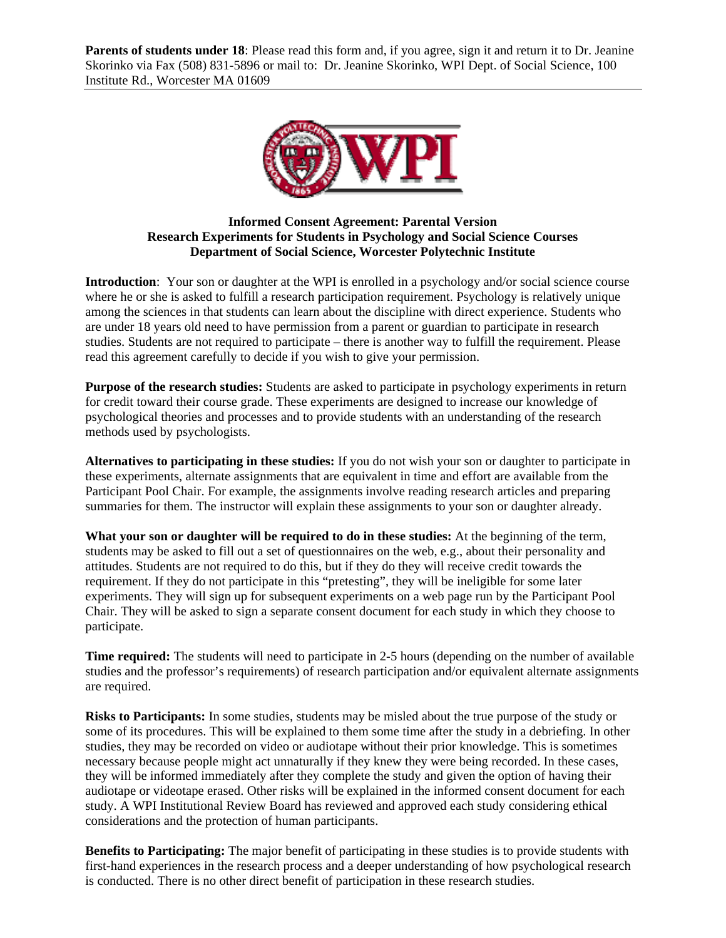**Parents of students under 18**: Please read this form and, if you agree, sign it and return it to Dr. Jeanine Skorinko via Fax (508) 831-5896 or mail to: Dr. Jeanine Skorinko, WPI Dept. of Social Science, 100 Institute Rd., Worcester MA 01609



## **Informed Consent Agreement: Parental Version Research Experiments for Students in Psychology and Social Science Courses Department of Social Science, Worcester Polytechnic Institute**

**Introduction**: Your son or daughter at the WPI is enrolled in a psychology and/or social science course where he or she is asked to fulfill a research participation requirement. Psychology is relatively unique among the sciences in that students can learn about the discipline with direct experience. Students who are under 18 years old need to have permission from a parent or guardian to participate in research studies. Students are not required to participate – there is another way to fulfill the requirement. Please read this agreement carefully to decide if you wish to give your permission.

**Purpose of the research studies:** Students are asked to participate in psychology experiments in return for credit toward their course grade. These experiments are designed to increase our knowledge of psychological theories and processes and to provide students with an understanding of the research methods used by psychologists.

**Alternatives to participating in these studies:** If you do not wish your son or daughter to participate in these experiments, alternate assignments that are equivalent in time and effort are available from the Participant Pool Chair. For example, the assignments involve reading research articles and preparing summaries for them. The instructor will explain these assignments to your son or daughter already.

**What your son or daughter will be required to do in these studies:** At the beginning of the term, students may be asked to fill out a set of questionnaires on the web, e.g., about their personality and attitudes. Students are not required to do this, but if they do they will receive credit towards the requirement. If they do not participate in this "pretesting", they will be ineligible for some later experiments. They will sign up for subsequent experiments on a web page run by the Participant Pool Chair. They will be asked to sign a separate consent document for each study in which they choose to participate.

**Time required:** The students will need to participate in 2-5 hours (depending on the number of available studies and the professor's requirements) of research participation and/or equivalent alternate assignments are required.

**Risks to Participants:** In some studies, students may be misled about the true purpose of the study or some of its procedures. This will be explained to them some time after the study in a debriefing. In other studies, they may be recorded on video or audiotape without their prior knowledge. This is sometimes necessary because people might act unnaturally if they knew they were being recorded. In these cases, they will be informed immediately after they complete the study and given the option of having their audiotape or videotape erased. Other risks will be explained in the informed consent document for each study. A WPI Institutional Review Board has reviewed and approved each study considering ethical considerations and the protection of human participants.

**Benefits to Participating:** The major benefit of participating in these studies is to provide students with first-hand experiences in the research process and a deeper understanding of how psychological research is conducted. There is no other direct benefit of participation in these research studies.